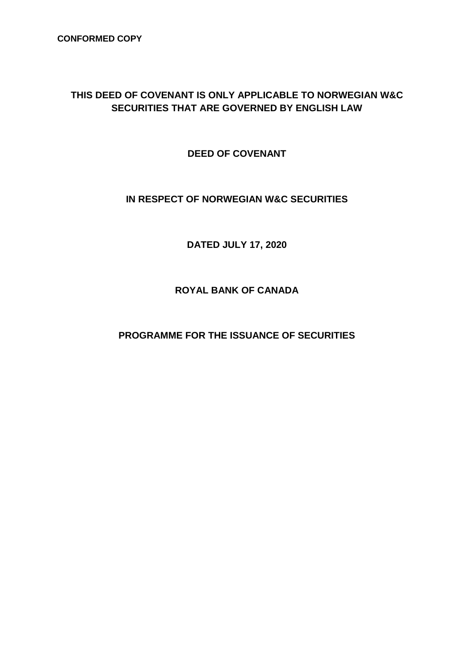## **THIS DEED OF COVENANT IS ONLY APPLICABLE TO NORWEGIAN W&C SECURITIES THAT ARE GOVERNED BY ENGLISH LAW**

**DEED OF COVENANT**

## **IN RESPECT OF NORWEGIAN W&C SECURITIES**

**DATED JULY 17, 2020**

**ROYAL BANK OF CANADA**

**PROGRAMME FOR THE ISSUANCE OF SECURITIES**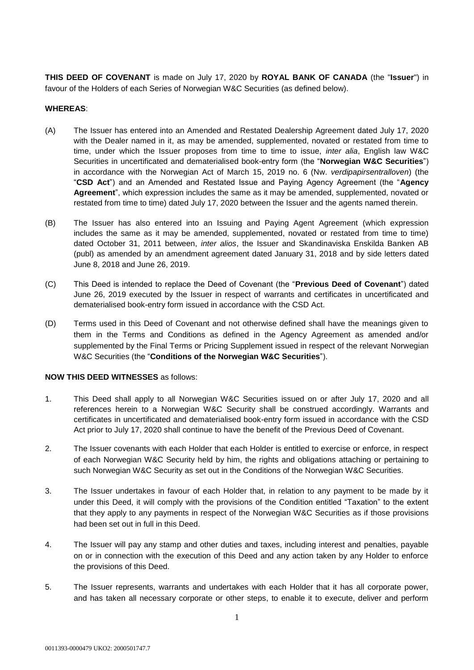**THIS DEED OF COVENANT** is made on July 17, 2020 by **ROYAL BANK OF CANADA** (the "**Issuer**") in favour of the Holders of each Series of Norwegian W&C Securities (as defined below).

## **WHEREAS**:

- (A) The Issuer has entered into an Amended and Restated Dealership Agreement dated July 17, 2020 with the Dealer named in it, as may be amended, supplemented, novated or restated from time to time, under which the Issuer proposes from time to time to issue, *inter alia*, English law W&C Securities in uncertificated and dematerialised book-entry form (the "**Norwegian W&C Securities**") in accordance with the Norwegian Act of March 15, 2019 no. 6 (Nw. *verdipapirsentralloven*) (the "**CSD Act**") and an Amended and Restated Issue and Paying Agency Agreement (the "**Agency Agreement**", which expression includes the same as it may be amended, supplemented, novated or restated from time to time) dated July 17, 2020 between the Issuer and the agents named therein.
- (B) The Issuer has also entered into an Issuing and Paying Agent Agreement (which expression includes the same as it may be amended, supplemented, novated or restated from time to time) dated October 31, 2011 between, *inter alios*, the Issuer and Skandinaviska Enskilda Banken AB (publ) as amended by an amendment agreement dated January 31, 2018 and by side letters dated June 8, 2018 and June 26, 2019.
- (C) This Deed is intended to replace the Deed of Covenant (the "**Previous Deed of Covenant**") dated June 26, 2019 executed by the Issuer in respect of warrants and certificates in uncertificated and dematerialised book-entry form issued in accordance with the CSD Act.
- (D) Terms used in this Deed of Covenant and not otherwise defined shall have the meanings given to them in the Terms and Conditions as defined in the Agency Agreement as amended and/or supplemented by the Final Terms or Pricing Supplement issued in respect of the relevant Norwegian W&C Securities (the "**Conditions of the Norwegian W&C Securities**").

## **NOW THIS DEED WITNESSES** as follows:

- 1. This Deed shall apply to all Norwegian W&C Securities issued on or after July 17, 2020 and all references herein to a Norwegian W&C Security shall be construed accordingly. Warrants and certificates in uncertificated and dematerialised book-entry form issued in accordance with the CSD Act prior to July 17, 2020 shall continue to have the benefit of the Previous Deed of Covenant.
- 2. The Issuer covenants with each Holder that each Holder is entitled to exercise or enforce, in respect of each Norwegian W&C Security held by him, the rights and obligations attaching or pertaining to such Norwegian W&C Security as set out in the Conditions of the Norwegian W&C Securities.
- 3. The Issuer undertakes in favour of each Holder that, in relation to any payment to be made by it under this Deed, it will comply with the provisions of the Condition entitled "Taxation" to the extent that they apply to any payments in respect of the Norwegian W&C Securities as if those provisions had been set out in full in this Deed.
- 4. The Issuer will pay any stamp and other duties and taxes, including interest and penalties, payable on or in connection with the execution of this Deed and any action taken by any Holder to enforce the provisions of this Deed.
- 5. The Issuer represents, warrants and undertakes with each Holder that it has all corporate power, and has taken all necessary corporate or other steps, to enable it to execute, deliver and perform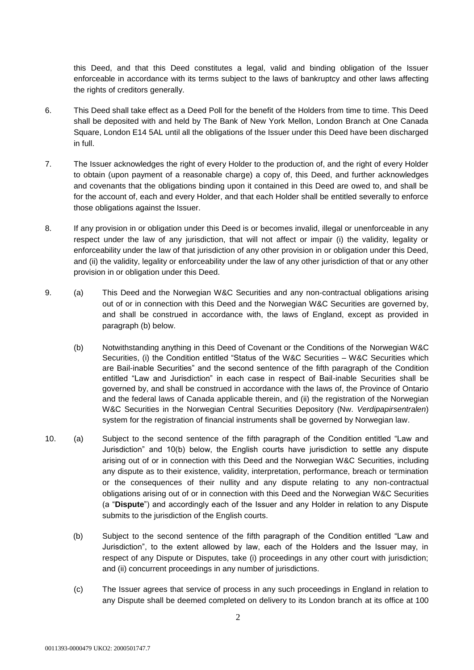this Deed, and that this Deed constitutes a legal, valid and binding obligation of the Issuer enforceable in accordance with its terms subject to the laws of bankruptcy and other laws affecting the rights of creditors generally.

- 6. This Deed shall take effect as a Deed Poll for the benefit of the Holders from time to time. This Deed shall be deposited with and held by The Bank of New York Mellon, London Branch at One Canada Square, London E14 5AL until all the obligations of the Issuer under this Deed have been discharged in full.
- 7. The Issuer acknowledges the right of every Holder to the production of, and the right of every Holder to obtain (upon payment of a reasonable charge) a copy of, this Deed, and further acknowledges and covenants that the obligations binding upon it contained in this Deed are owed to, and shall be for the account of, each and every Holder, and that each Holder shall be entitled severally to enforce those obligations against the Issuer.
- 8. If any provision in or obligation under this Deed is or becomes invalid, illegal or unenforceable in any respect under the law of any jurisdiction, that will not affect or impair (i) the validity, legality or enforceability under the law of that jurisdiction of any other provision in or obligation under this Deed, and (ii) the validity, legality or enforceability under the law of any other jurisdiction of that or any other provision in or obligation under this Deed.
- 9. (a) This Deed and the Norwegian W&C Securities and any non-contractual obligations arising out of or in connection with this Deed and the Norwegian W&C Securities are governed by, and shall be construed in accordance with, the laws of England, except as provided in paragraph (b) below.
	- (b) Notwithstanding anything in this Deed of Covenant or the Conditions of the Norwegian W&C Securities, (i) the Condition entitled "Status of the W&C Securities – W&C Securities which are Bail-inable Securities" and the second sentence of the fifth paragraph of the Condition entitled "Law and Jurisdiction" in each case in respect of Bail-inable Securities shall be governed by, and shall be construed in accordance with the laws of, the Province of Ontario and the federal laws of Canada applicable therein, and (ii) the registration of the Norwegian W&C Securities in the Norwegian Central Securities Depository (Nw. *Verdipapirsentralen*) system for the registration of financial instruments shall be governed by Norwegian law.
- 10. (a) Subject to the second sentence of the fifth paragraph of the Condition entitled "Law and Jurisdiction" and 10(b) below, the English courts have jurisdiction to settle any dispute arising out of or in connection with this Deed and the Norwegian W&C Securities, including any dispute as to their existence, validity, interpretation, performance, breach or termination or the consequences of their nullity and any dispute relating to any non-contractual obligations arising out of or in connection with this Deed and the Norwegian W&C Securities (a "**Dispute**") and accordingly each of the Issuer and any Holder in relation to any Dispute submits to the jurisdiction of the English courts.
	- (b) Subject to the second sentence of the fifth paragraph of the Condition entitled "Law and Jurisdiction", to the extent allowed by law, each of the Holders and the Issuer may, in respect of any Dispute or Disputes, take (i) proceedings in any other court with jurisdiction; and (ii) concurrent proceedings in any number of jurisdictions.
	- (c) The Issuer agrees that service of process in any such proceedings in England in relation to any Dispute shall be deemed completed on delivery to its London branch at its office at 100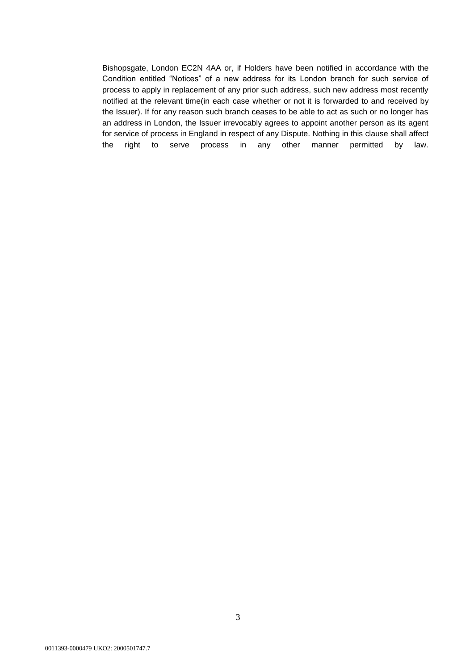Bishopsgate, London EC2N 4AA or, if Holders have been notified in accordance with the Condition entitled "Notices" of a new address for its London branch for such service of process to apply in replacement of any prior such address, such new address most recently notified at the relevant time(in each case whether or not it is forwarded to and received by the Issuer). If for any reason such branch ceases to be able to act as such or no longer has an address in London, the Issuer irrevocably agrees to appoint another person as its agent for service of process in England in respect of any Dispute. Nothing in this clause shall affect the right to serve process in any other manner permitted by law.